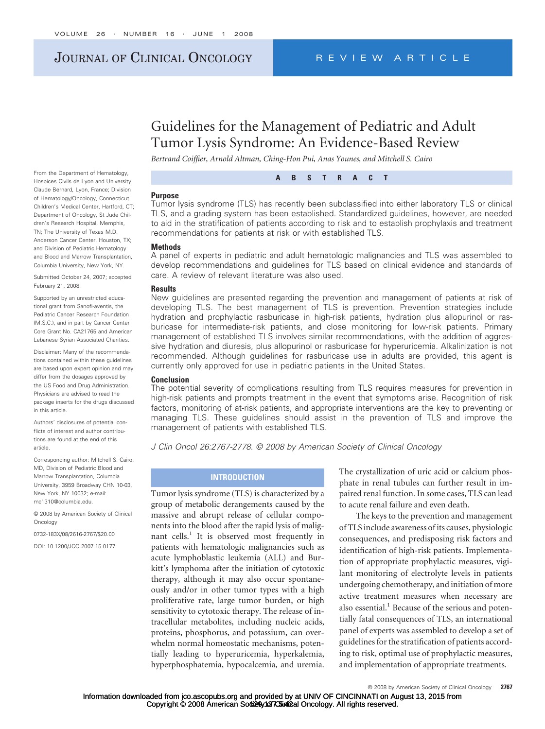# JOURNAL OF CLINICAL ONCOLOGY REVIEW ARTICLE

# Guidelines for the Management of Pediatric and Adult Tumor Lysis Syndrome: An Evidence-Based Review

From the Department of Hematology, Hospices Civils de Lyon and University Claude Bernard, Lyon, France; Division of Hematology/Oncology, Connecticut Children's Medical Center, Hartford, CT; Department of Oncology, St Jude Children's Research Hospital, Memphis, TN; The University of Texas M.D. Anderson Cancer Center, Houston, TX; and Division of Pediatric Hematology and Blood and Marrow Transplantation, Columbia University, New York, NY.

Submitted October 24, 2007; accepted February 21, 2008.

Supported by an unrestricted educational grant from Sanofi-aventis, the Pediatric Cancer Research Foundation (M.S.C.), and in part by Cancer Center Core Grant No. CA21765 and American Lebanese Syrian Associated Charities.

Disclaimer: Many of the recommendations contained within these guidelines are based upon expert opinion and may differ from the dosages approved by the US Food and Drug Administration. Physicians are advised to read the package inserts for the drugs discussed in this article.

Authors' disclosures of potential conflicts of interest and author contributions are found at the end of this article.

Corresponding author: Mitchell S. Cairo, MD, Division of Pediatric Blood and Marrow Transplantation, Columbia University, 3959 Broadway CHN 10-03, New York, NY 10032; e-mail: mc1310@columbia.edu.

© 2008 by American Society of Clinical **Oncology** 

0732-183X/08/2616-2767/\$20.00

DOI: 10.1200/JCO.2007.15.0177

*Bertrand Coiffier, Arnold Altman, Ching-Hon Pui, Anas Younes, and Mitchell S. Cairo*

**ABSTRACT**

#### **Purpose**

Tumor lysis syndrome (TLS) has recently been subclassified into either laboratory TLS or clinical TLS, and a grading system has been established. Standardized guidelines, however, are needed to aid in the stratification of patients according to risk and to establish prophylaxis and treatment recommendations for patients at risk or with established TLS.

#### **Methods**

A panel of experts in pediatric and adult hematologic malignancies and TLS was assembled to develop recommendations and guidelines for TLS based on clinical evidence and standards of care. A review of relevant literature was also used.

#### **Results**

New guidelines are presented regarding the prevention and management of patients at risk of developing TLS. The best management of TLS is prevention. Prevention strategies include hydration and prophylactic rasburicase in high-risk patients, hydration plus allopurinol or rasburicase for intermediate-risk patients, and close monitoring for low-risk patients. Primary management of established TLS involves similar recommendations, with the addition of aggressive hydration and diuresis, plus allopurinol or rasburicase for hyperuricemia. Alkalinization is not recommended. Although guidelines for rasburicase use in adults are provided, this agent is currently only approved for use in pediatric patients in the United States.

#### **Conclusion**

The potential severity of complications resulting from TLS requires measures for prevention in high-risk patients and prompts treatment in the event that symptoms arise. Recognition of risk factors, monitoring of at-risk patients, and appropriate interventions are the key to preventing or managing TLS. These guidelines should assist in the prevention of TLS and improve the management of patients with established TLS.

*J Clin Oncol 26:2767-2778. © 2008 by American Society of Clinical Oncology*

## **INTRODUCTION**

Tumor lysis syndrome (TLS) is characterized by a group of metabolic derangements caused by the massive and abrupt release of cellular components into the blood after the rapid lysis of malignant cells.<sup>1</sup> It is observed most frequently in patients with hematologic malignancies such as acute lymphoblastic leukemia (ALL) and Burkitt's lymphoma after the initiation of cytotoxic therapy, although it may also occur spontaneously and/or in other tumor types with a high proliferative rate, large tumor burden, or high sensitivity to cytotoxic therapy. The release of intracellular metabolites, including nucleic acids, proteins, phosphorus, and potassium, can overwhelm normal homeostatic mechanisms, potentially leading to hyperuricemia, hyperkalemia, hyperphosphatemia, hypocalcemia, and uremia. The crystallization of uric acid or calcium phosphate in renal tubules can further result in impaired renal function. In some cases, TLS can lead to acute renal failure and even death.

The keys to the prevention and management of TLS include awareness of its causes, physiologic consequences, and predisposing risk factors and identification of high-risk patients. Implementation of appropriate prophylactic measures, vigilant monitoring of electrolyte levels in patients undergoing chemotherapy, and initiation of more active treatment measures when necessary are also essential.<sup>1</sup> Because of the serious and potentially fatal consequences of TLS, an international panel of experts was assembled to develop a set of guidelines for the stratification of patients according to risk, optimal use of prophylactic measures, and implementation of appropriate treatments.

© 2008 by American Society of Clinical Oncology **2767**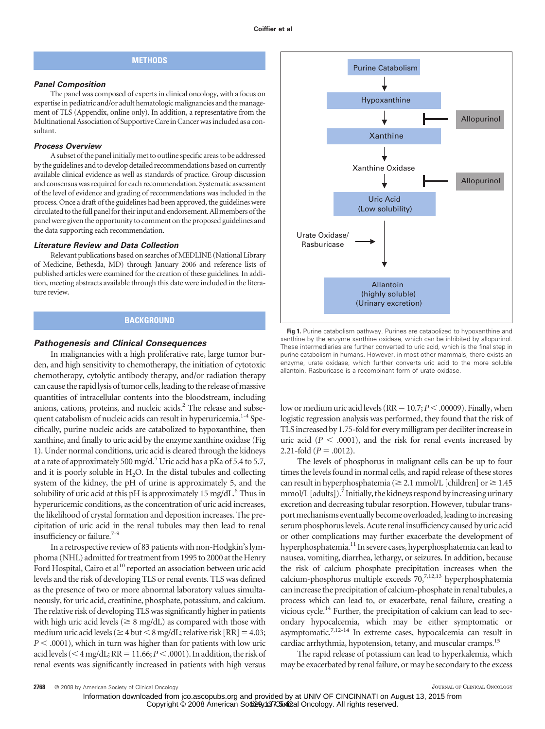## **METHODS**

#### *Panel Composition*

The panel was composed of experts in clinical oncology, with a focus on expertise in pediatric and/or adult hematologic malignancies and the management of TLS (Appendix, online only). In addition, a representative from the Multinational Association of Supportive Care in Cancer was included as a consultant.

#### *Process Overview*

A subset of the panel initially met to outline specific areas to be addressed by the guidelines and to develop detailed recommendations based on currently available clinical evidence as well as standards of practice. Group discussion and consensus was required for each recommendation. Systematic assessment of the level of evidence and grading of recommendations was included in the process. Once a draft of the guidelines had been approved, the guidelines were circulated to the full panel for their input and endorsement. All members of the panel were given the opportunity to comment on the proposed guidelines and the data supporting each recommendation.

#### *Literature Review and Data Collection*

Relevant publications based on searches of MEDLINE (National Library of Medicine, Bethesda, MD) through January 2006 and reference lists of published articles were examined for the creation of these guidelines. In addition, meeting abstracts available through this date were included in the literature review.

## **BACKGROUND**

#### *Pathogenesis and Clinical Consequences*

In malignancies with a high proliferative rate, large tumor burden, and high sensitivity to chemotherapy, the initiation of cytotoxic chemotherapy, cytolytic antibody therapy, and/or radiation therapy can cause the rapid lysis of tumor cells, leading to the release of massive quantities of intracellular contents into the bloodstream, including anions, cations, proteins, and nucleic acids.2 The release and subsequent catabolism of nucleic acids can result in hyperuricemia.<sup>1-4</sup> Specifically, purine nucleic acids are catabolized to hypoxanthine, then xanthine, and finally to uric acid by the enzyme xanthine oxidase (Fig 1). Under normal conditions, uric acid is cleared through the kidneys at a rate of approximately 500 mg/d.<sup>5</sup> Uric acid has a pKa of 5.4 to 5.7, and it is poorly soluble in  $H<sub>2</sub>O$ . In the distal tubules and collecting system of the kidney, the pH of urine is approximately 5, and the solubility of uric acid at this pH is approximately 15 mg/dL $<sup>6</sup>$  Thus in</sup> hyperuricemic conditions, as the concentration of uric acid increases, the likelihood of crystal formation and deposition increases. The precipitation of uric acid in the renal tubules may then lead to renal insufficiency or failure.7-9

In a retrospective review of 83 patients with non-Hodgkin's lymphoma (NHL) admitted for treatment from 1995 to 2000 at the Henry Ford Hospital, Cairo et al<sup>10</sup> reported an association between uric acid levels and the risk of developing TLS or renal events. TLS was defined as the presence of two or more abnormal laboratory values simultaneously, for uric acid, creatinine, phosphate, potassium, and calcium. The relative risk of developing TLS was significantly higher in patients with high uric acid levels ( $\geq 8$  mg/dL) as compared with those with medium uric acid levels ( $\geq 4$  but  $< 8$  mg/dL; relative risk [RR] = 4.03;  $P < .0001$ ), which in turn was higher than for patients with low uric acid levels ( $\leq 4$  mg/dL; RR = 11.66; *P* $\leq$  .0001). In addition, the risk of renal events was significantly increased in patients with high versus



**Fig 1.** Purine catabolism pathway. Purines are catabolized to hypoxanthine and xanthine by the enzyme xanthine oxidase, which can be inhibited by allopurinol. These intermediaries are further converted to uric acid, which is the final step in purine catabolism in humans. However, in most other mammals, there exists an enzyme, urate oxidase, which further converts uric acid to the more soluble allantoin. Rasburicase is a recombinant form of urate oxidase.

low or medium uric acid levels (RR = 10.7; *P* < .00009). Finally, when logistic regression analysis was performed, they found that the risk of TLS increased by 1.75-fold for every milligram per deciliter increase in uric acid  $(P < .0001)$ , and the risk for renal events increased by  $2.21$ -fold ( $P = .0012$ ).

The levels of phosphorus in malignant cells can be up to four times the levels found in normal cells, and rapid release of these stores can result in hyperphosphatemia ( $\geq$  2.1 mmol/L [children] or  $\geq$  1.45 mmol/L [adults]).<sup>7</sup> Initially, the kidneys respond by increasing urinary excretion and decreasing tubular resorption. However, tubular transport mechanisms eventually become overloaded, leading to increasing serum phosphorus levels. Acute renal insufficiency caused by uric acid or other complications may further exacerbate the development of hyperphosphatemia.<sup>11</sup> In severe cases, hyperphosphatemia can lead to nausea, vomiting, diarrhea, lethargy, or seizures. In addition, because the risk of calcium phosphate precipitation increases when the calcium-phosphorus multiple exceeds 70,<sup>7,12,13</sup> hyperphosphatemia can increase the precipitation of calcium-phosphate in renal tubules, a process which can lead to, or exacerbate, renal failure, creating a vicious cycle.14 Further, the precipitation of calcium can lead to secondary hypocalcemia, which may be either symptomatic or asymptomatic.7,12-14 In extreme cases, hypocalcemia can result in cardiac arrhythmia, hypotension, tetany, and muscular cramps.<sup>15</sup>

The rapid release of potassium can lead to hyperkalemia, which may be exacerbated by renal failure, or may be secondary to the excess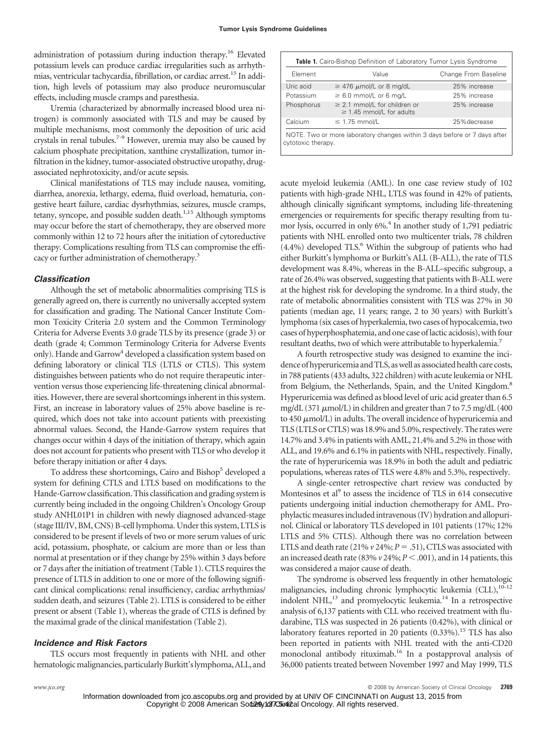administration of potassium during induction therapy.16 Elevated potassium levels can produce cardiac irregularities such as arrhythmias, ventricular tachycardia, fibrillation, or cardiac arrest.15 In addition, high levels of potassium may also produce neuromuscular effects, including muscle cramps and paresthesia.

Uremia (characterized by abnormally increased blood urea nitrogen) is commonly associated with TLS and may be caused by multiple mechanisms, most commonly the deposition of uric acid crystals in renal tubules.7-9 However, uremia may also be caused by calcium phosphate precipitation, xanthine crystallization, tumor infiltration in the kidney, tumor-associated obstructive uropathy, drugassociated nephrotoxicity, and/or acute sepsis.

Clinical manifestations of TLS may include nausea, vomiting, diarrhea, anorexia, lethargy, edema, fluid overload, hematuria, congestive heart failure, cardiac dysrhythmias, seizures, muscle cramps, tetany, syncope, and possible sudden death.<sup>1,15</sup> Although symptoms may occur before the start of chemotherapy, they are observed more commonly within 12 to 72 hours after the initiation of cytoreductive therapy. Complications resulting from TLS can compromise the efficacy or further administration of chemotherapy.3

#### *Classification*

Although the set of metabolic abnormalities comprising TLS is generally agreed on, there is currently no universally accepted system for classification and grading. The National Cancer Institute Common Toxicity Criteria 2.0 system and the Common Terminology Criteria for Adverse Events 3.0 grade TLS by its presence (grade 3) or death (grade 4; Common Terminology Criteria for Adverse Events only). Hande and Garrow<sup>4</sup> developed a classification system based on defining laboratory or clinical TLS (LTLS or CTLS). This system distinguishes between patients who do not require therapeutic intervention versus those experiencing life-threatening clinical abnormalities. However, there are several shortcomings inherent in this system. First, an increase in laboratory values of 25% above baseline is required, which does not take into account patients with preexisting abnormal values. Second, the Hande-Garrow system requires that changes occur within 4 days of the initiation of therapy, which again does not account for patients who present with TLS or who develop it before therapy initiation or after 4 days.

To address these shortcomings, Cairo and Bishop<sup>5</sup> developed a system for defining CTLS and LTLS based on modifications to the Hande-Garrow classification. This classification and grading system is currently being included in the ongoing Children's Oncology Group study ANHL01P1 in children with newly diagnosed advanced-stage (stage III/IV, BM, CNS) B-cell lymphoma. Under this system, LTLS is considered to be present if levels of two or more serum values of uric acid, potassium, phosphate, or calcium are more than or less than normal at presentation or if they change by 25% within 3 days before or 7 days after the initiation of treatment (Table 1). CTLS requires the presence of LTLS in addition to one or more of the following significant clinical complications: renal insufficiency, cardiac arrhythmias/ sudden death, and seizures (Table 2). LTLS is considered to be either present or absent (Table 1), whereas the grade of CTLS is defined by the maximal grade of the clinical manifestation (Table 2).

#### *Incidence and Risk Factors*

TLS occurs most frequently in patients with NHL and other hematologic malignancies, particularly Burkitt's lymphoma, ALL, and

| Element                                                                                         | Value                                                              | Change From Baseline |  |  |
|-------------------------------------------------------------------------------------------------|--------------------------------------------------------------------|----------------------|--|--|
| Uric acid                                                                                       | $\geq$ 476 $\mu$ mol/L or 8 mg/dL                                  | 25% increase         |  |  |
| Potassium                                                                                       | $\geq 6.0$ mmol/L or 6 mg/L                                        | 25% increase         |  |  |
| Phosphorus                                                                                      | $\geq$ 2.1 mmol/L for children or<br>$\geq$ 1.45 mmol/L for adults | 25% increase         |  |  |
| Calcium                                                                                         | $\leq$ 1.75 mmol/L                                                 | 25% decrease         |  |  |
| NOTE. Two or more laboratory changes within 3 days before or 7 days after<br>cytotoxic therapy. |                                                                    |                      |  |  |

acute myeloid leukemia (AML). In one case review study of 102 patients with high-grade NHL, LTLS was found in 42% of patients, although clinically significant symptoms, including life-threatening emergencies or requirements for specific therapy resulting from tumor lysis, occurred in only  $6\%$ .<sup>4</sup> In another study of 1,791 pediatric patients with NHL enrolled onto two multicenter trials, 78 children  $(4.4\%)$  developed TLS.<sup>6</sup> Within the subgroup of patients who had either Burkitt's lymphoma or Burkitt's ALL (B-ALL), the rate of TLS development was 8.4%, whereas in the B-ALL–specific subgroup, a rate of 26.4% was observed, suggesting that patients with B-ALL were at the highest risk for developing the syndrome. In a third study, the rate of metabolic abnormalities consistent with TLS was 27% in 30 patients (median age, 11 years; range, 2 to 30 years) with Burkitt's lymphoma (six cases of hyperkalemia, two cases of hypocalcemia, two cases of hyperphosphatemia, and one case of lactic acidosis), with four resultant deaths, two of which were attributable to hyperkalemia.7

A fourth retrospective study was designed to examine the incidence of hyperuricemia and TLS, as well as associated health care costs, in 788 patients (433 adults, 322 children) with acute leukemia or NHL from Belgium, the Netherlands, Spain, and the United Kingdom.<sup>8</sup> Hyperuricemia was defined as blood level of uric acid greater than 6.5 mg/dL (371  $\mu$ mol/L) in children and greater than 7 to 7.5 mg/dL (400  $\,$ to 450  $\mu$ mol/L) in adults. The overall incidence of hyperuricemia and TLS (LTLS or CTLS) was 18.9% and 5.0%, respectively. The rates were 14.7% and 3.4% in patients with AML, 21.4% and 5.2% in those with ALL, and 19.6% and 6.1% in patients with NHL, respectively. Finally, the rate of hyperuricemia was 18.9% in both the adult and pediatric populations, whereas rates of TLS were 4.8% and 5.3%, respectively.

A single-center retrospective chart review was conducted by Montesinos et al<sup>9</sup> to assess the incidence of TLS in 614 consecutive patients undergoing initial induction chemotherapy for AML. Prophylactic measures included intravenous (IV) hydration and allopurinol. Clinical or laboratory TLS developed in 101 patients (17%; 12% LTLS and 5% CTLS). Although there was no correlation between LTLS and death rate  $(21\% v 24\%; P = .51)$ , CTLS was associated with an increased death rate (83%  $\nu$  24%;  $P < .001$ ), and in 14 patients, this was considered a major cause of death.

The syndrome is observed less frequently in other hematologic malignancies, including chronic lymphocytic leukemia (CLL),<sup>10-12</sup> indolent NHL $^{13}$  and promyelocytic leukemia.<sup>14</sup> In a retrospective analysis of 6,137 patients with CLL who received treatment with fludarabine, TLS was suspected in 26 patients (0.42%), with clinical or laboratory features reported in 20 patients (0.33%).<sup>15</sup> TLS has also been reported in patients with NHL treated with the anti-CD20 monoclonal antibody rituximab.<sup>16</sup> In a postapproval analysis of 36,000 patients treated between November 1997 and May 1999, TLS

*www.jco.org* © 2008 by American Society of Clinical Oncology **2769**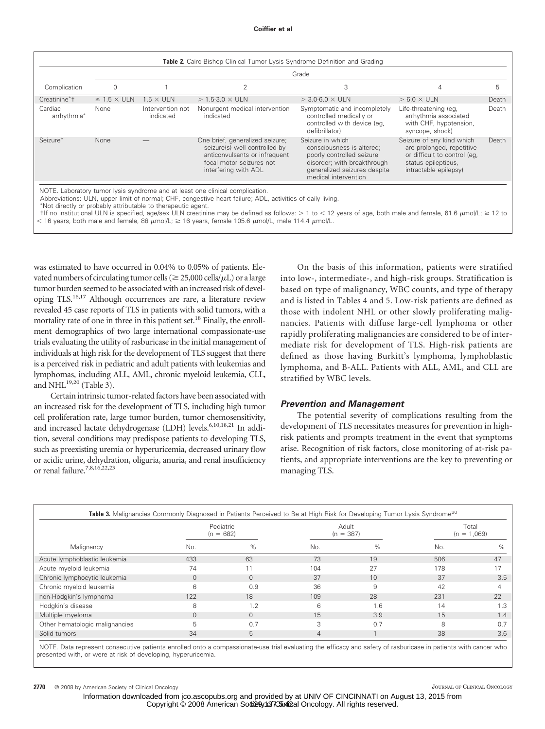| Table 2. Cairo-Bishop Clinical Tumor Lysis Syndrome Definition and Grading |                         |                               |                                                                                                                                                       |                                                                                                                                                                   |                                                                                                                                        |       |
|----------------------------------------------------------------------------|-------------------------|-------------------------------|-------------------------------------------------------------------------------------------------------------------------------------------------------|-------------------------------------------------------------------------------------------------------------------------------------------------------------------|----------------------------------------------------------------------------------------------------------------------------------------|-------|
|                                                                            | Grade                   |                               |                                                                                                                                                       |                                                                                                                                                                   |                                                                                                                                        |       |
| Complication                                                               | 0                       |                               |                                                                                                                                                       | 3                                                                                                                                                                 | 4                                                                                                                                      | 5     |
| Creatinine*t                                                               | $\leq$ 1.5 $\times$ ULN | $1.5 \times$ ULN              | $> 1.5 - 3.0 \times$ ULN                                                                                                                              | $>$ 3.0-6.0 $\times$ ULN                                                                                                                                          | $> 6.0 \times$ ULN                                                                                                                     | Death |
| Cardiac<br>arrhythmia*                                                     | None                    | Intervention not<br>indicated | Nonurgent medical intervention<br>indicated                                                                                                           | Symptomatic and incompletely<br>controlled medically or<br>controlled with device (eq.<br>defibrillator)                                                          | Life-threatening (eg,<br>arrhythmia associated<br>with CHF, hypotension,<br>syncope, shock)                                            | Death |
| Seizure <sup>*</sup>                                                       | None                    |                               | One brief, generalized seizure;<br>seizure(s) well controlled by<br>anticonvulsants or infrequent<br>focal motor seizures not<br>interfering with ADL | Seizure in which<br>consciousness is altered:<br>poorly controlled seizure<br>disorder; with breakthrough<br>generalized seizures despite<br>medical intervention | Seizure of any kind which<br>are prolonged, repetitive<br>or difficult to control (eq.<br>status epilepticus,<br>intractable epilepsy) | Death |
|                                                                            |                         |                               | NOTE. Laboratory tumor lysis syndrome and at least one clinical complication.                                                                         |                                                                                                                                                                   |                                                                                                                                        |       |

Abbreviations: ULN, upper limit of normal; CHF, congestive heart failure; ADL, activities of daily living.

Not directly or probably attributable to therapeutic agent.

tlf no institutional ULN is specified, age/sex ULN creatinine may be defined as follows:  $> 1$  to  $< 12$  years of age, both male and female, 61.6  $\mu$ mol/L;  $\geq 12$  to  $<$  16 years, both male and female, 88  $\mu$ mol/L;  $\geq$  16 years, female 105.6  $\mu$ mol/L, male 114.4  $\mu$ mol/L.

was estimated to have occurred in 0.04% to 0.05% of patients. Elevated numbers of circulating tumor cells ( $\geq$  25,000 cells/ $\mu$ L) or a large tumor burden seemed to be associated with an increased risk of developing TLS.16,17 Although occurrences are rare, a literature review revealed 45 case reports of TLS in patients with solid tumors, with a mortality rate of one in three in this patient set.<sup>18</sup> Finally, the enrollment demographics of two large international compassionate-use trials evaluating the utility of rasburicase in the initial management of individuals at high risk for the development of TLS suggest that there is a perceived risk in pediatric and adult patients with leukemias and lymphomas, including ALL, AML, chronic myeloid leukemia, CLL, and NHL $^{19,20}$  (Table 3).

Certain intrinsic tumor-related factors have been associated with an increased risk for the development of TLS, including high tumor cell proliferation rate, large tumor burden, tumor chemosensitivity, and increased lactate dehydrogenase (LDH) levels.<sup>6,10,18,21</sup> In addition, several conditions may predispose patients to developing TLS, such as preexisting uremia or hyperuricemia, decreased urinary flow or acidic urine, dehydration, oliguria, anuria, and renal insufficiency or renal failure.7,8,16,22,23

On the basis of this information, patients were stratified into low-, intermediate-, and high-risk groups. Stratification is based on type of malignancy, WBC counts, and type of therapy and is listed in Tables 4 and 5. Low-risk patients are defined as those with indolent NHL or other slowly proliferating malignancies. Patients with diffuse large-cell lymphoma or other rapidly proliferating malignancies are considered to be of intermediate risk for development of TLS. High-risk patients are defined as those having Burkitt's lymphoma, lymphoblastic lymphoma, and B-ALL. Patients with ALL, AML, and CLL are stratified by WBC levels.

#### *Prevention and Management*

The potential severity of complications resulting from the development of TLS necessitates measures for prevention in highrisk patients and prompts treatment in the event that symptoms arise. Recognition of risk factors, close monitoring of at-risk patients, and appropriate interventions are the key to preventing or managing TLS.

| Table 3. Malignancies Commonly Diagnosed in Patients Perceived to Be at High Risk for Developing Tumor Lysis Syndrome <sup>20</sup> |                          |          |                      |     |                        |      |
|-------------------------------------------------------------------------------------------------------------------------------------|--------------------------|----------|----------------------|-----|------------------------|------|
|                                                                                                                                     | Pediatric<br>$(n = 682)$ |          | Adult<br>$(n = 387)$ |     | Total<br>$(n = 1,069)$ |      |
| Malignancy                                                                                                                          | No.                      | %        | No.                  | %   | No.                    | $\%$ |
| Acute lymphoblastic leukemia                                                                                                        | 433                      | 63       | 73                   | 19  | 506                    | 47   |
| Acute myeloid leukemia                                                                                                              | 74                       | 11       | 104                  | 27  | 178                    | 17   |
| Chronic lymphocytic leukemia                                                                                                        | $\Omega$                 | $\Omega$ | 37                   | 10  | 37                     | 3.5  |
| Chronic myeloid leukemia                                                                                                            | 6                        | 0.9      | 36                   | 9   | 42                     | 4    |
| non-Hodgkin's lymphoma                                                                                                              | 122                      | 18       | 109                  | 28  | 231                    | 22   |
| Hodgkin's disease                                                                                                                   | 8                        | 1.2      | 6                    | 1.6 | 14                     | 1.3  |
| Multiple myeloma                                                                                                                    | $\Omega$                 | $\Omega$ | 15                   | 3.9 | 15                     | 1.4  |
| Other hematologic malignancies                                                                                                      | 5                        | 0.7      | 3                    | 0.7 | 8                      | 0.7  |
| Solid tumors                                                                                                                        | 34                       | 5        | $\overline{4}$       |     | 38                     | 3.6  |

NOTE. Data represent consecutive patients enrolled onto a compassionate-use trial evaluating the efficacy and safety of rasburicase in patients with cancer who presented with, or were at risk of developing, hyperuricemia.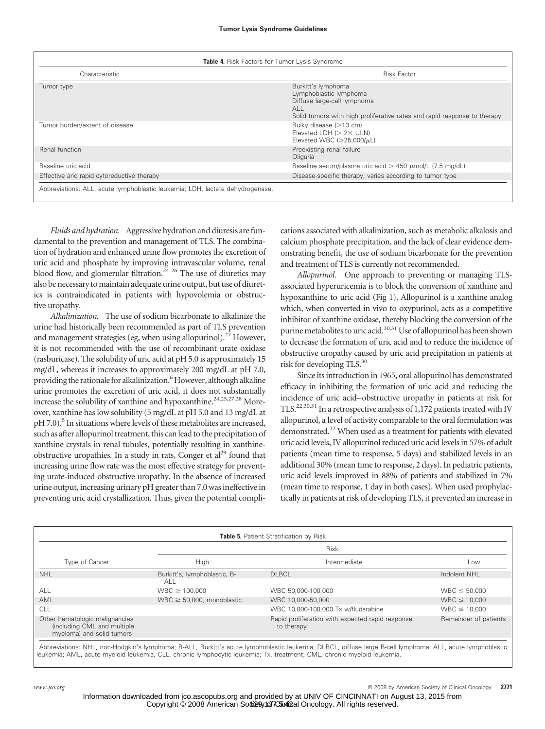| <b>Table 4.</b> Risk Factors for Tumor Lysis Syndrome                         |                                                                                                                                                                       |  |  |
|-------------------------------------------------------------------------------|-----------------------------------------------------------------------------------------------------------------------------------------------------------------------|--|--|
| Characteristic                                                                | <b>Risk Factor</b>                                                                                                                                                    |  |  |
| Tumor type                                                                    | Burkitt's lymphoma<br>Lymphoblastic lymphoma<br>Diffuse large-cell lymphoma<br><b>ALL</b><br>Solid tumors with high proliferative rates and rapid response to therapy |  |  |
| Tumor burden/extent of disease                                                | Bulky disease (>10 cm)<br>Elevated LDH $(> 2 \times$ ULN)<br>Elevated WBC ( $>$ 25,000/ $\mu$ L)                                                                      |  |  |
| Renal function                                                                | Preexisting renal failure<br>Oliguria                                                                                                                                 |  |  |
| Baseline uric acid                                                            | Baseline serum/plasma uric acid > 450 $\mu$ mol/L (7.5 mg/dL)                                                                                                         |  |  |
| Effective and rapid cytoreductive therapy                                     | Disease-specific therapy, varies according to tumor type                                                                                                              |  |  |
| Abbreviations: ALL, acute lymphoblastic leukemia; LDH, lactate dehydrogenase. |                                                                                                                                                                       |  |  |

*Fluids and hydration.* Aggressive hydration and diuresis are fundamental to the prevention and management of TLS. The combination of hydration and enhanced urine flow promotes the excretion of uric acid and phosphate by improving intravascular volume, renal blood flow, and glomerular filtration.<sup>24-26</sup> The use of diuretics may also be necessary to maintain adequate urine output, but use of diuretics is contraindicated in patients with hypovolemia or obstructive uropathy.

*Alkalinization.* The use of sodium bicarbonate to alkalinize the urine had historically been recommended as part of TLS prevention and management strategies (eg, when using allopurinol).<sup>27</sup> However, it is not recommended with the use of recombinant urate oxidase (rasburicase). The solubility of uric acid at pH 5.0 is approximately 15 mg/dL, whereas it increases to approximately 200 mg/dL at pH 7.0, providing the rationale for alkalinization.<sup>6</sup> However, although alkaline urine promotes the excretion of uric acid, it does not substantially increase the solubility of xanthine and hypoxanthine.<sup>24,25,27,28</sup> Moreover, xanthine has low solubility (5 mg/dL at pH 5.0 and 13 mg/dL at  $pH$  7.0).<sup>5</sup> In situations where levels of these metabolites are increased, such as after allopurinol treatment, this can lead to the precipitation of xanthine crystals in renal tubules, potentially resulting in xanthineobstructive uropathies. In a study in rats, Conger et  $al<sup>29</sup>$  found that increasing urine flow rate was the most effective strategy for preventing urate-induced obstructive uropathy. In the absence of increased urine output, increasing urinary pH greater than 7.0 was ineffective in preventing uric acid crystallization. Thus, given the potential complications associated with alkalinization, such as metabolic alkalosis and calcium phosphate precipitation, and the lack of clear evidence demonstrating benefit, the use of sodium bicarbonate for the prevention and treatment of TLS is currently not recommended.

*Allopurinol.* One approach to preventing or managing TLSassociated hyperuricemia is to block the conversion of xanthine and hypoxanthine to uric acid (Fig 1). Allopurinol is a xanthine analog which, when converted in vivo to oxypurinol, acts as a competitive inhibitor of xanthine oxidase, thereby blocking the conversion of the purine metabolites to uric acid.<sup>30,31</sup> Use of allopurinol has been shown to decrease the formation of uric acid and to reduce the incidence of obstructive uropathy caused by uric acid precipitation in patients at risk for developing TLS.30

Since its introduction in 1965, oral allopurinol has demonstrated efficacy in inhibiting the formation of uric acid and reducing the incidence of uric acid–obstructive uropathy in patients at risk for TLS.22,30,31 In a retrospective analysis of 1,172 patients treated with IV allopurinol, a level of activity comparable to the oral formulation was demonstrated.<sup>32</sup> When used as a treatment for patients with elevated uric acid levels, IV allopurinol reduced uric acid levels in 57% of adult patients (mean time to response, 5 days) and stabilized levels in an additional 30% (mean time to response, 2 days). In pediatric patients, uric acid levels improved in 88% of patients and stabilized in 7% (mean time to response, 1 day in both cases). When used prophylactically in patients at risk of developing TLS, it prevented an increase in

| Table 5. Patient Stratification by Risk                                                    |                                     |                                                                |                       |
|--------------------------------------------------------------------------------------------|-------------------------------------|----------------------------------------------------------------|-----------------------|
|                                                                                            | <b>Risk</b>                         |                                                                |                       |
| Type of Cancer                                                                             | High                                | Intermediate                                                   | Low                   |
| <b>NHL</b>                                                                                 | Burkitt's, lymphoblastic, B-<br>ALL | <b>DLBCL</b>                                                   | Indolent NHL          |
| ALL                                                                                        | $WBC \ge 100.000$                   | WBC 50.000-100.000                                             | $WBC \le 50,000$      |
| AML                                                                                        | WBC $\geq$ 50,000, monoblastic      | WBC 10,000-50,000                                              | $WBC \leq 10,000$     |
| <b>CLL</b>                                                                                 |                                     | WBC 10,000-100,000 Tx w/fludarabine                            | $WBC \leq 10,000$     |
| Other hematologic malignancies<br>(including CML and multiple<br>myeloma) and solid tumors |                                     | Rapid proliferation with expected rapid response<br>to therapy | Remainder of patients |

Abbreviations: NHL, non-Hodgkin's lymphoma; B-ALL, Burkitt's acute lymphoblastic leukemia; DLBCL, diffuse large B-cell lymphoma; ALL, acute lymphoblastic leukemia; AML, acute myeloid leukemia, CLL, chronic lymphocytic leukemia; Tx, treatment; CML, chronic myeloid leukemia.

*www.jco.org* © 2008 by American Society of Clinical Oncology **2771**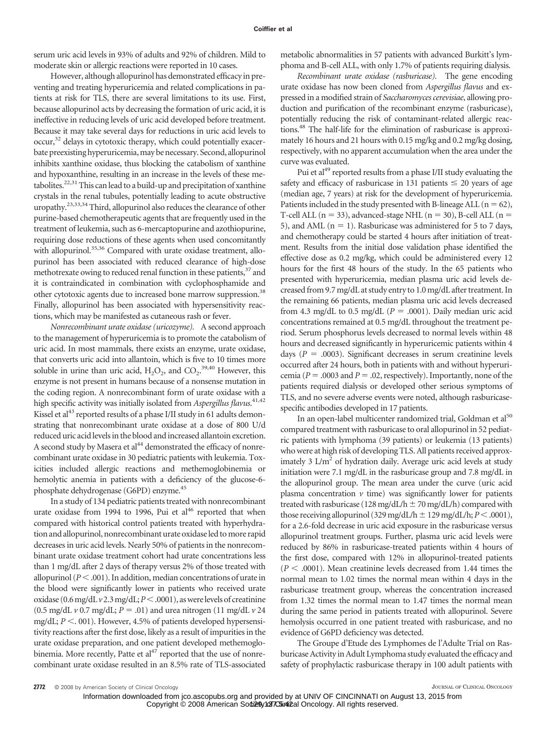serum uric acid levels in 93% of adults and 92% of children. Mild to moderate skin or allergic reactions were reported in 10 cases.

However, although allopurinol has demonstrated efficacy in preventing and treating hyperuricemia and related complications in patients at risk for TLS, there are several limitations to its use. First, because allopurinol acts by decreasing the formation of uric acid, it is ineffective in reducing levels of uric acid developed before treatment. Because it may take several days for reductions in uric acid levels to occur,<sup>32</sup> delays in cytotoxic therapy, which could potentially exacerbate preexisting hyperuricemia, may be necessary. Second, allopurinol inhibits xanthine oxidase, thus blocking the catabolism of xanthine and hypoxanthine, resulting in an increase in the levels of these metabolites.<sup>22,31</sup> This can lead to a build-up and precipitation of xanthine crystals in the renal tubules, potentially leading to acute obstructive uropathy.23,33,34 Third, allopurinol also reduces the clearance of other purine-based chemotherapeutic agents that are frequently used in the treatment of leukemia, such as 6-mercaptopurine and azothiopurine, requiring dose reductions of these agents when used concomitantly with allopurinol.<sup>35,36</sup> Compared with urate oxidase treatment, allopurinol has been associated with reduced clearance of high-dose methotrexate owing to reduced renal function in these patients,<sup>37</sup> and it is contraindicated in combination with cyclophosphamide and other cytotoxic agents due to increased bone marrow suppression.38 Finally, allopurinol has been associated with hypersensitivity reactions, which may be manifested as cutaneous rash or fever.

*Nonrecombinant urate oxidase (uricozyme).* A second approach to the management of hyperuricemia is to promote the catabolism of uric acid. In most mammals, there exists an enzyme, urate oxidase, that converts uric acid into allantoin, which is five to 10 times more soluble in urine than uric acid,  $H_2O_2$ , and  $CO_2$ .<sup>39,40</sup> However, this enzyme is not present in humans because of a nonsense mutation in the coding region. A nonrecombinant form of urate oxidase with a high specific activity was initially isolated from *Aspergillus flavus*. 41,42 Kissel et al<sup>43</sup> reported results of a phase I/II study in 61 adults demonstrating that nonrecombinant urate oxidase at a dose of 800 U/d reduced uric acid levels in the blood and increased allantoin excretion. A second study by Masera et al<sup>44</sup> demonstrated the efficacy of nonrecombinant urate oxidase in 30 pediatric patients with leukemia. Toxicities included allergic reactions and methemoglobinemia or hemolytic anemia in patients with a deficiency of the glucose-6 phosphate dehydrogenase (G6PD) enzyme.45

In a study of 134 pediatric patients treated with nonrecombinant urate oxidase from 1994 to 1996, Pui et al<sup>46</sup> reported that when compared with historical control patients treated with hyperhydration and allopurinol, nonrecombinant urate oxidase led to more rapid decreases in uric acid levels. Nearly 50% of patients in the nonrecombinant urate oxidase treatment cohort had urate concentrations less than 1 mg/dL after 2 days of therapy versus 2% of those treated with allopurinol  $(P < .001)$ . In addition, median concentrations of urate in the blood were significantly lower in patients who received urate oxidase (0.6 mg/dL  $\nu$  2.3 mg/dL;  $P$  < .0001), as were levels of creatinine  $(0.5 \text{ mg/dL } v 0.7 \text{ mg/dL}; P = .01)$  and urea nitrogen  $(11 \text{ mg/dL } v 24)$ mg/dL;  $P < 001$ ). However, 4.5% of patients developed hypersensitivity reactions after the first dose, likely as a result of impurities in the urate oxidase preparation, and one patient developed methemoglobinemia. More recently, Patte et  $al^{47}$  reported that the use of nonrecombinant urate oxidase resulted in an 8.5% rate of TLS-associated metabolic abnormalities in 57 patients with advanced Burkitt's lymphoma and B-cell ALL, with only 1.7% of patients requiring dialysis.

*Recombinant urate oxidase (rasburicase).* The gene encoding urate oxidase has now been cloned from *Aspergillus flavus* and expressed in a modified strain of *Saccharomyces cerevisiae*, allowing production and purification of the recombinant enzyme (rasburicase), potentially reducing the risk of contaminant-related allergic reactions.48 The half-life for the elimination of rasburicase is approximately 16 hours and 21 hours with 0.15 mg/kg and 0.2 mg/kg dosing, respectively, with no apparent accumulation when the area under the curve was evaluated.

Pui et al<sup>49</sup> reported results from a phase I/II study evaluating the safety and efficacy of rasburicase in 131 patients  $\leq$  20 years of age (median age, 7 years) at risk for the development of hyperuricemia. Patients included in the study presented with B-lineage ALL  $(n = 62)$ , T-cell ALL ( $n = 33$ ), advanced-stage NHL ( $n = 30$ ), B-cell ALL ( $n =$ 5), and AML ( $n = 1$ ). Rasburicase was administered for 5 to 7 days, and chemotherapy could be started 4 hours after initiation of treatment. Results from the initial dose validation phase identified the effective dose as 0.2 mg/kg, which could be administered every 12 hours for the first 48 hours of the study. In the 65 patients who presented with hyperuricemia, median plasma uric acid levels decreased from 9.7 mg/dL at study entry to 1.0 mg/dL after treatment. In the remaining 66 patients, median plasma uric acid levels decreased from 4.3 mg/dL to 0.5 mg/dL  $(P = .0001)$ . Daily median uric acid concentrations remained at 0.5 mg/dL throughout the treatment period. Serum phosphorus levels decreased to normal levels within 48 hours and decreased significantly in hyperuricemic patients within 4 days ( $P = .0003$ ). Significant decreases in serum creatinine levels occurred after 24 hours, both in patients with and without hyperuricemia ( $P = 0.0003$  and  $P = 0.02$ , respectively). Importantly, none of the patients required dialysis or developed other serious symptoms of TLS, and no severe adverse events were noted, although rasburicasespecific antibodies developed in 17 patients.

In an open-label multicenter randomized trial, Goldman et al<sup>50</sup> compared treatment with rasburicase to oral allopurinol in 52 pediatric patients with lymphoma (39 patients) or leukemia (13 patients) who were at high risk of developing TLS. All patients received approximately 3  $L/m^2$  of hydration daily. Average uric acid levels at study initiation were 7.1 mg/dL in the rasburicase group and 7.8 mg/dL in the allopurinol group. The mean area under the curve (uric acid plasma concentration  $\nu$  time) was significantly lower for patients treated with rasburicase (128 mg/dL/h  $\pm$  70 mg/dL/h) compared with those receiving allopurinol (329 mg/dL/h  $\pm$  129 mg/dL/h;  $P < .0001$ ), for a 2.6-fold decrease in uric acid exposure in the rasburicase versus allopurinol treatment groups. Further, plasma uric acid levels were reduced by 86% in rasburicase-treated patients within 4 hours of the first dose, compared with 12% in allopurinol-treated patients  $(P < .0001)$ . Mean creatinine levels decreased from 1.44 times the normal mean to 1.02 times the normal mean within 4 days in the rasburicase treatment group, whereas the concentration increased from 1.32 times the normal mean to 1.47 times the normal mean during the same period in patients treated with allopurinol. Severe hemolysis occurred in one patient treated with rasburicase, and no evidence of G6PD deficiency was detected.

The Groupe d'Etude des Lymphomes de l'Adulte Trial on Rasburicase Activity in Adult Lymphoma study evaluated the efficacy and safety of prophylactic rasburicase therapy in 100 adult patients with

Information downloaded from jco.ascopubs.org and provided by at UNIV OF CINCINNATI on August 13, 2015 from<br>Copyright © 2008 American Sodesynan and proclogy. All rights reserved.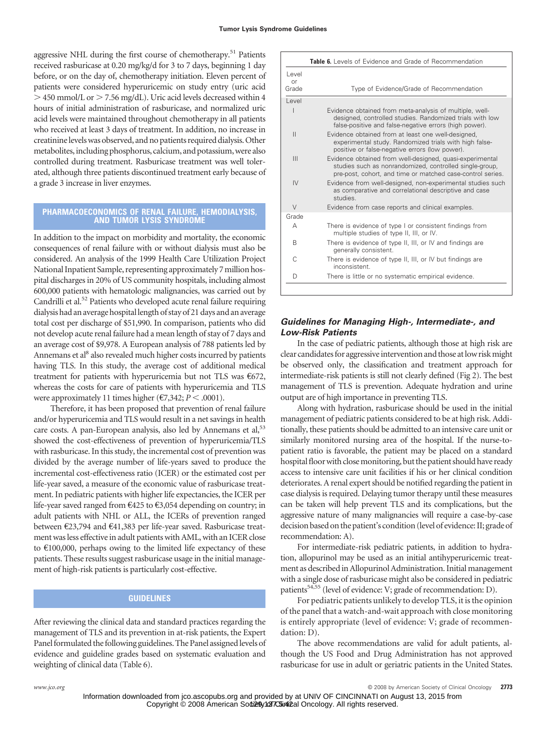aggressive NHL during the first course of chemotherapy.<sup>51</sup> Patients received rasburicase at 0.20 mg/kg/d for 3 to 7 days, beginning 1 day before, or on the day of, chemotherapy initiation. Eleven percent of patients were considered hyperuricemic on study entry (uric acid  $>$  450 mmol/L or  $>$  7.56 mg/dL). Uric acid levels decreased within 4 hours of initial administration of rasburicase, and normalized uric acid levels were maintained throughout chemotherapy in all patients who received at least 3 days of treatment. In addition, no increase in creatinine levels was observed, and no patients required dialysis. Other metabolites, including phosphorus, calcium, and potassium, were also controlled during treatment. Rasburicase treatment was well tolerated, although three patients discontinued treatment early because of a grade 3 increase in liver enzymes.

#### **PHARMACOECONOMICS OF RENAL FAILURE, HEMODIALYSIS, AND TUMOR LYSIS SYNDROME**

In addition to the impact on morbidity and mortality, the economic consequences of renal failure with or without dialysis must also be considered. An analysis of the 1999 Health Care Utilization Project National Inpatient Sample, representing approximately 7 million hospital discharges in 20% of US community hospitals, including almost 600,000 patients with hematologic malignancies, was carried out by Candrilli et al.<sup>52</sup> Patients who developed acute renal failure requiring dialysis had an average hospital length of stay of 21 days and an average total cost per discharge of \$51,990. In comparison, patients who did not develop acute renal failure had a mean length of stay of 7 days and an average cost of \$9,978. A European analysis of 788 patients led by Annemans et al<sup>8</sup> also revealed much higher costs incurred by patients having TLS. In this study, the average cost of additional medical treatment for patients with hyperuricemia but not TLS was €672, whereas the costs for care of patients with hyperuricemia and TLS were approximately 11 times higher ( $\epsilon$ 7,342; *P* < .0001).

Therefore, it has been proposed that prevention of renal failure and/or hyperuricemia and TLS would result in a net savings in health care costs. A pan-European analysis, also led by Annemans et al,<sup>53</sup> showed the cost-effectiveness of prevention of hyperuricemia/TLS with rasburicase. In this study, the incremental cost of prevention was divided by the average number of life-years saved to produce the incremental cost-effectiveness ratio (ICER) or the estimated cost per life-year saved, a measure of the economic value of rasburicase treatment. In pediatric patients with higher life expectancies, the ICER per life-year saved ranged from €425 to €3,054 depending on country; in adult patients with NHL or ALL, the ICERs of prevention ranged between €23,794 and €41,383 per life-year saved. Rasburicase treatment was less effective in adult patients with AML, with an ICER close to  $E100,000$ , perhaps owing to the limited life expectancy of these patients. These results suggest rasburicase usage in the initial management of high-risk patients is particularly cost-effective.

## **GUIDELINES**

After reviewing the clinical data and standard practices regarding the management of TLS and its prevention in at-risk patients, the Expert Panel formulated the following guidelines. The Panel assigned levels of evidence and guideline grades based on systematic evaluation and weighting of clinical data (Table 6).

|                      | <b>Table 6.</b> Levels of Evidence and Grade of Recommendation                                                                                                                    |
|----------------------|-----------------------------------------------------------------------------------------------------------------------------------------------------------------------------------|
| Level<br>or<br>Grade | Type of Evidence/Grade of Recommendation                                                                                                                                          |
| Level                |                                                                                                                                                                                   |
|                      | Evidence obtained from meta-analysis of multiple, well-<br>designed, controlled studies. Randomized trials with low<br>false-positive and false-negative errors (high power).     |
| $\mathbf{  }$        | Evidence obtained from at least one well-designed,<br>experimental study. Randomized trials with high false-<br>positive or false-negative errors (low power).                    |
|                      | Evidence obtained from well-designed, quasi-experimental<br>studies such as nonrandomized, controlled single-group,<br>pre-post, cohort, and time or matched case-control series. |
| IV                   | Evidence from well-designed, non-experimental studies such<br>as comparative and correlational descriptive and case<br>studies                                                    |
| $\vee$               | Evidence from case reports and clinical examples.                                                                                                                                 |
| Grade                |                                                                                                                                                                                   |
| А                    | There is evidence of type I or consistent findings from<br>multiple studies of type II, III, or IV.                                                                               |
| R                    | There is evidence of type II, III, or IV and findings are<br>generally consistent.                                                                                                |
| C                    | There is evidence of type II, III, or IV but findings are<br>inconsistent.                                                                                                        |
| D                    | There is little or no systematic empirical evidence.                                                                                                                              |

## *Guidelines for Managing High-, Intermediate-, and Low-Risk Patients*

In the case of pediatric patients, although those at high risk are clear candidates for aggressive intervention and those at low risk might be observed only, the classification and treatment approach for intermediate-risk patients is still not clearly defined (Fig 2). The best management of TLS is prevention. Adequate hydration and urine output are of high importance in preventing TLS.

Along with hydration, rasburicase should be used in the initial management of pediatric patients considered to be at high risk. Additionally, these patients should be admitted to an intensive care unit or similarly monitored nursing area of the hospital. If the nurse-topatient ratio is favorable, the patient may be placed on a standard hospital floor with close monitoring, but the patient should have ready access to intensive care unit facilities if his or her clinical condition deteriorates. A renal expert should be notified regarding the patient in case dialysis is required. Delaying tumor therapy until these measures can be taken will help prevent TLS and its complications, but the aggressive nature of many malignancies will require a case-by-case decision based on the patient's condition (level of evidence: II; grade of recommendation: A).

For intermediate-risk pediatric patients, in addition to hydration, allopurinol may be used as an initial antihyperuricemic treatment as described in Allopurinol Administration. Initial management with a single dose of rasburicase might also be considered in pediatric patients<sup>54,55</sup> (level of evidence: V; grade of recommendation: D).

For pediatric patients unlikely to develop TLS, it is the opinion of the panel that a watch-and-wait approach with close monitoring is entirely appropriate (level of evidence: V; grade of recommendation: D).

The above recommendations are valid for adult patients, although the US Food and Drug Administration has not approved rasburicase for use in adult or geriatric patients in the United States.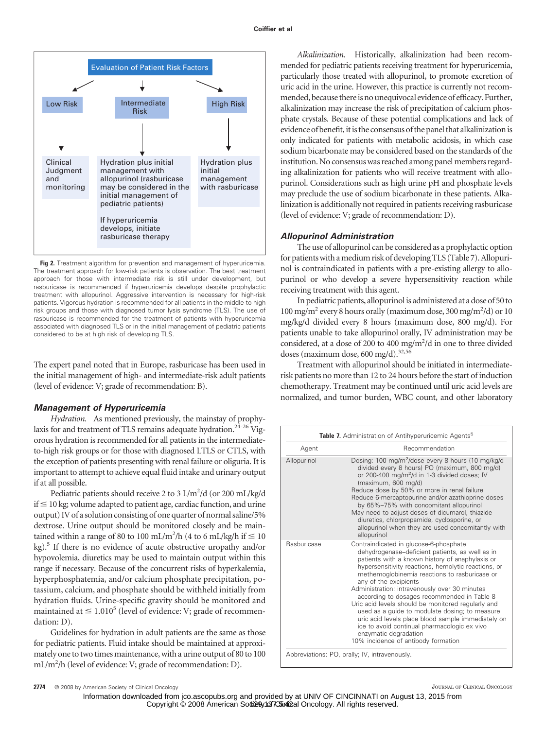

**Fig 2.** Treatment algorithm for prevention and management of hyperuricemia. The treatment approach for low-risk patients is observation. The best treatment approach for those with intermediate risk is still under development, but rasburicase is recommended if hyperuricemia develops despite prophylactic treatment with allopurinol. Aggressive intervention is necessary for high-risk patients. Vigorous hydration is recommended for all patients in the middle-to-high risk groups and those with diagnosed tumor lysis syndrome (TLS). The use of rasburicase is recommended for the treatment of patients with hyperuricemia associated with diagnosed TLS or in the initial management of pediatric patients considered to be at high risk of developing TLS.

The expert panel noted that in Europe, rasburicase has been used in the initial management of high- and intermediate-risk adult patients (level of evidence: V; grade of recommendation: B).

### *Management of Hyperuricemia*

*Hydration.* As mentioned previously, the mainstay of prophylaxis for and treatment of TLS remains adequate hydration.<sup>24-26</sup> Vigorous hydration is recommended for all patients in the intermediateto-high risk groups or for those with diagnosed LTLS or CTLS, with the exception of patients presenting with renal failure or oliguria. It is important to attempt to achieve equal fluid intake and urinary output if at all possible.

Pediatric patients should receive 2 to 3 L/m<sup>2</sup>/d (or 200 mL/kg/d  $if \leq 10$  kg; volume adapted to patient age, cardiac function, and urine output) IV of a solution consisting of one quarter of normal saline/5% dextrose. Urine output should be monitored closely and be maintained within a range of 80 to 100 mL/m<sup>2</sup>/h (4 to 6 mL/kg/h if  $\leq 10$ kg).5 If there is no evidence of acute obstructive uropathy and/or hypovolemia, diuretics may be used to maintain output within this range if necessary. Because of the concurrent risks of hyperkalemia, hyperphosphatemia, and/or calcium phosphate precipitation, potassium, calcium, and phosphate should be withheld initially from hydration fluids. Urine-specific gravity should be monitored and maintained at  $\leq 1.010^5$  (level of evidence: V; grade of recommendation: D).

Guidelines for hydration in adult patients are the same as those for pediatric patients. Fluid intake should be maintained at approximately one to two times maintenance, with a urine output of 80 to 100 mL/m<sup>2</sup>/h (level of evidence: V; grade of recommendation: D).

*Alkalinization.* Historically, alkalinization had been recommended for pediatric patients receiving treatment for hyperuricemia, particularly those treated with allopurinol, to promote excretion of uric acid in the urine. However, this practice is currently not recommended, because there is no unequivocal evidence of efficacy. Further, alkalinization may increase the risk of precipitation of calcium phosphate crystals. Because of these potential complications and lack of evidence of benefit, it is the consensus of the panel that alkalinization is only indicated for patients with metabolic acidosis, in which case sodium bicarbonate may be considered based on the standards of the institution. No consensus was reached among panel members regarding alkalinization for patients who will receive treatment with allopurinol. Considerations such as high urine pH and phosphate levels may preclude the use of sodium bicarbonate in these patients. Alkalinization is additionally not required in patients receiving rasburicase (level of evidence: V; grade of recommendation: D).

#### *Allopurinol Administration*

The use of allopurinol can be considered as a prophylactic option for patients with a medium risk of developing TLS (Table 7). Allopurinol is contraindicated in patients with a pre-existing allergy to allopurinol or who develop a severe hypersensitivity reaction while receiving treatment with this agent.

In pediatric patients, allopurinol is administered at a dose of 50 to 100 mg/m<sup>2</sup> every 8 hours orally (maximum dose, 300 mg/m<sup>2</sup>/d) or 10 mg/kg/d divided every 8 hours (maximum dose, 800 mg/d). For patients unable to take allopurinol orally, IV administration may be considered, at a dose of 200 to 400 mg/m<sup>2</sup>/d in one to three divided doses (maximum dose,  $600$  mg/d).<sup>32,56</sup>

Treatment with allopurinol should be initiated in intermediaterisk patients no more than 12 to 24 hours before the start of induction chemotherapy. Treatment may be continued until uric acid levels are normalized, and tumor burden, WBC count, and other laboratory

| Agent       | Recommendation                                                                                                                                                                                                                                                                                                                                                                                                                                                                                                                                                                                                                                              |
|-------------|-------------------------------------------------------------------------------------------------------------------------------------------------------------------------------------------------------------------------------------------------------------------------------------------------------------------------------------------------------------------------------------------------------------------------------------------------------------------------------------------------------------------------------------------------------------------------------------------------------------------------------------------------------------|
| Allopurinol | Dosing: 100 mg/m <sup>2</sup> /dose every 8 hours (10 mg/kg/d<br>divided every 8 hours) PO (maximum, 800 mg/d)<br>or 200-400 mg/m <sup>2</sup> /d in 1-3 divided doses; IV<br>(maximum, 600 mg/d)<br>Reduce dose by 50% or more in renal failure<br>Reduce 6-mercaptopurine and/or azathioprine doses<br>by 65%-75% with concomitant allopurinol<br>May need to adjust doses of dicumarol, thiazide<br>diuretics, chlorpropamide, cyclosporine, or<br>allopurinol when they are used concomitantly with<br>allopurinol                                                                                                                                      |
| Rasburicase | Contraindicated in glucose-6-phosphate<br>dehydrogenase-deficient patients, as well as in<br>patients with a known history of anaphylaxis or<br>hypersensitivity reactions, hemolytic reactions, or<br>methemoglobinemia reactions to rasburicase or<br>any of the excipients<br>Administration: intravenously over 30 minutes<br>according to dosages recommended in Table 8<br>Uric acid levels should be monitored regularly and<br>used as a guide to modulate dosing; to measure<br>uric acid levels place blood sample immediately on<br>ice to avoid continual pharmacologic ex vivo<br>enzymatic degradation<br>10% incidence of antibody formation |

eviations: PO, orally; IV, intravenously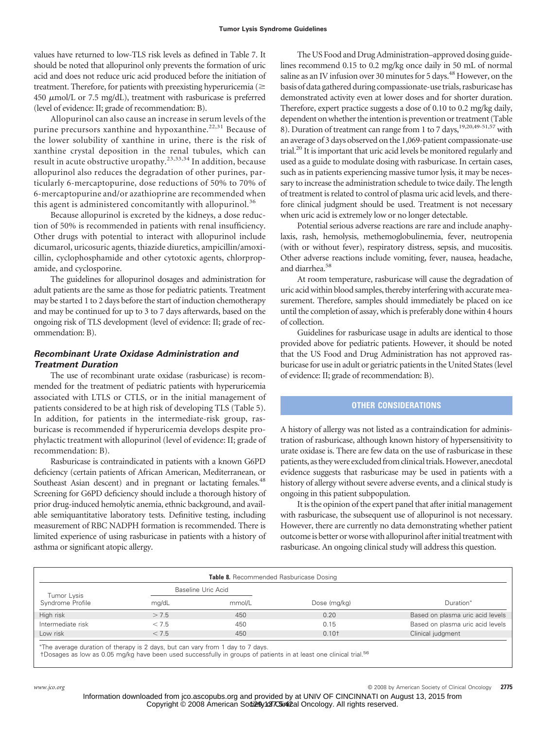values have returned to low-TLS risk levels as defined in Table 7. It should be noted that allopurinol only prevents the formation of uric acid and does not reduce uric acid produced before the initiation of treatment. Therefore, for patients with preexisting hyperuricemia ( $\geq$  $450 \mu$ mol/L or 7.5 mg/dL), treatment with rasburicase is preferred (level of evidence: II; grade of recommendation: B).

Allopurinol can also cause an increase in serum levels of the purine precursors xanthine and hypoxanthine.<sup>22,31</sup> Because of the lower solubility of xanthine in urine, there is the risk of xanthine crystal deposition in the renal tubules, which can result in acute obstructive uropathy.23,33,34 In addition, because allopurinol also reduces the degradation of other purines, particularly 6-mercaptopurine, dose reductions of 50% to 70% of 6-mercaptopurine and/or azathioprine are recommended when this agent is administered concomitantly with allopurinol.<sup>36</sup>

Because allopurinol is excreted by the kidneys, a dose reduction of 50% is recommended in patients with renal insufficiency. Other drugs with potential to interact with allopurinol include dicumarol, uricosuric agents, thiazide diuretics, ampicillin/amoxicillin, cyclophosphamide and other cytotoxic agents, chlorpropamide, and cyclosporine.

The guidelines for allopurinol dosages and administration for adult patients are the same as those for pediatric patients. Treatment may be started 1 to 2 days before the start of induction chemotherapy and may be continued for up to 3 to 7 days afterwards, based on the ongoing risk of TLS development (level of evidence: II; grade of recommendation: B).

## *Recombinant Urate Oxidase Administration and Treatment Duration*

The use of recombinant urate oxidase (rasburicase) is recommended for the treatment of pediatric patients with hyperuricemia associated with LTLS or CTLS, or in the initial management of patients considered to be at high risk of developing TLS (Table 5). In addition, for patients in the intermediate-risk group, rasburicase is recommended if hyperuricemia develops despite prophylactic treatment with allopurinol (level of evidence: II; grade of recommendation: B).

Rasburicase is contraindicated in patients with a known G6PD deficiency (certain patients of African American, Mediterranean, or Southeast Asian descent) and in pregnant or lactating females.<sup>48</sup> Screening for G6PD deficiency should include a thorough history of prior drug-induced hemolytic anemia, ethnic background, and available semiquantitative laboratory tests. Definitive testing, including measurement of RBC NADPH formation is recommended. There is limited experience of using rasburicase in patients with a history of asthma or significant atopic allergy.

The US Food and Drug Administration–approved dosing guidelines recommend 0.15 to 0.2 mg/kg once daily in 50 mL of normal saline as an IV infusion over 30 minutes for 5 days.<sup>48</sup> However, on the basis of data gathered during compassionate-use trials, rasburicase has demonstrated activity even at lower doses and for shorter duration. Therefore, expert practice suggests a dose of 0.10 to 0.2 mg/kg daily, dependent on whether the intention is prevention or treatment (Table 8). Duration of treatment can range from 1 to 7 days,<sup>19,20,49-51,57</sup> with an average of 3 days observed on the 1,069-patient compassionate-use trial.20 It is important that uric acid levels be monitored regularly and used as a guide to modulate dosing with rasburicase. In certain cases, such as in patients experiencing massive tumor lysis, it may be necessary to increase the administration schedule to twice daily. The length of treatment is related to control of plasma uric acid levels, and therefore clinical judgment should be used. Treatment is not necessary when uric acid is extremely low or no longer detectable.

Potential serious adverse reactions are rare and include anaphylaxis, rash, hemolysis, methemoglobulinemia, fever, neutropenia (with or without fever), respiratory distress, sepsis, and mucositis. Other adverse reactions include vomiting, fever, nausea, headache, and diarrhea.58

At room temperature, rasburicase will cause the degradation of uric acid within blood samples, thereby interfering with accurate measurement. Therefore, samples should immediately be placed on ice until the completion of assay, which is preferably done within 4 hours of collection.

Guidelines for rasburicase usage in adults are identical to those provided above for pediatric patients. However, it should be noted that the US Food and Drug Administration has not approved rasburicase for use in adult or geriatric patients in the United States (level of evidence: II; grade of recommendation: B).

## **OTHER CONSIDERATIONS**

A history of allergy was not listed as a contraindication for administration of rasburicase, although known history of hypersensitivity to urate oxidase is. There are few data on the use of rasburicase in these patients, as they were excluded from clinical trials. However, anecdotal evidence suggests that rasburicase may be used in patients with a history of allergy without severe adverse events, and a clinical study is ongoing in this patient subpopulation.

It is the opinion of the expert panel that after initial management with rasburicase, the subsequent use of allopurinol is not necessary. However, there are currently no data demonstrating whether patient outcome is better or worse with allopurinol after initial treatment with rasburicase. An ongoing clinical study will address this question.

| Table 8. Recommended Rasburicase Dosing |                    |        |                   |                                  |
|-----------------------------------------|--------------------|--------|-------------------|----------------------------------|
| Tumor Lysis                             | Baseline Uric Acid |        |                   |                                  |
| Syndrome Profile                        | mg/dL              | mmol/L | Dose (mg/kg)      | Duration <sup>*</sup>            |
| High risk                               | > 7.5              | 450    | 0.20              | Based on plasma uric acid levels |
| Intermediate risk                       | < 7.5              | 450    | 0.15              | Based on plasma uric acid levels |
| Low risk                                | < 7.5              | 450    | 0.10 <sup>†</sup> | Clinical judgment                |

The average duration of therapy is 2 days, but can vary from 1 day to 7 days.

†Dosages as low as 0.05 mg/kg have been used successfully in groups of patients in at least one clinical trial.<sup>56</sup>

*www.jco.org* © 2008 by American Society of Clinical Oncology **2775**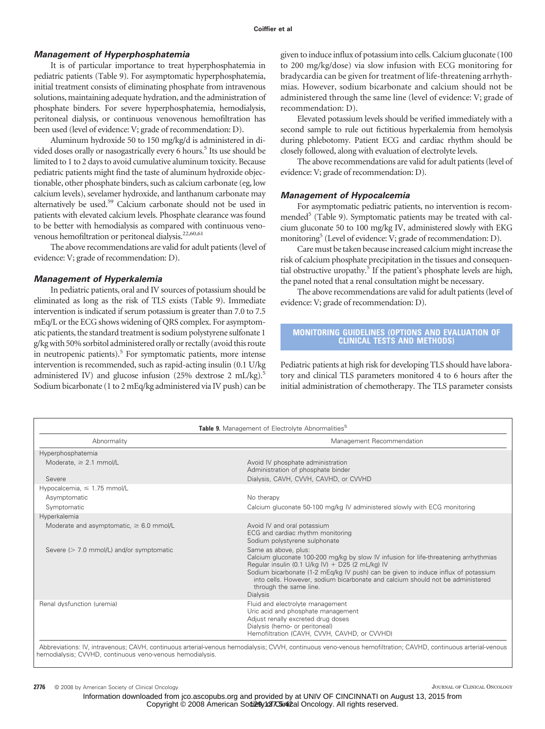#### *Management of Hyperphosphatemia*

It is of particular importance to treat hyperphosphatemia in pediatric patients (Table 9). For asymptomatic hyperphosphatemia, initial treatment consists of eliminating phosphate from intravenous solutions, maintaining adequate hydration, and the administration of phosphate binders. For severe hyperphosphatemia, hemodialysis, peritoneal dialysis, or continuous venovenous hemofiltration has been used (level of evidence: V; grade of recommendation: D).

Aluminum hydroxide 50 to 150 mg/kg/d is administered in divided doses orally or nasogastrically every 6 hours.<sup>5</sup> Its use should be limited to 1 to 2 days to avoid cumulative aluminum toxicity. Because pediatric patients might find the taste of aluminum hydroxide objectionable, other phosphate binders, such as calcium carbonate (eg, low calcium levels), sevelamer hydroxide, and lanthanum carbonate may alternatively be used.59 Calcium carbonate should not be used in patients with elevated calcium levels. Phosphate clearance was found to be better with hemodialysis as compared with continuous venovenous hemofiltration or peritoneal dialysis.<sup>22,60,61</sup>

The above recommendations are valid for adult patients (level of evidence: V; grade of recommendation: D).

#### *Management of Hyperkalemia*

In pediatric patients, oral and IV sources of potassium should be eliminated as long as the risk of TLS exists (Table 9). Immediate intervention is indicated if serum potassium is greater than 7.0 to 7.5 mEq/L or the ECG shows widening of QRS complex. For asymptomatic patients, the standard treatment is sodium polystyrene sulfonate 1 g/kg with 50% sorbitol administered orally or rectally (avoid this route in neutropenic patients).<sup>5</sup> For symptomatic patients, more intense intervention is recommended, such as rapid-acting insulin (0.1 U/kg administered IV) and glucose infusion (25% dextrose 2 mL/kg).<sup>5</sup> Sodium bicarbonate (1 to 2 mEq/kg administered via IV push) can be given to induce influx of potassium into cells. Calcium gluconate (100 to 200 mg/kg/dose) via slow infusion with ECG monitoring for bradycardia can be given for treatment of life-threatening arrhythmias. However, sodium bicarbonate and calcium should not be administered through the same line (level of evidence: V; grade of recommendation: D).

Elevated potassium levels should be verified immediately with a second sample to rule out fictitious hyperkalemia from hemolysis during phlebotomy. Patient ECG and cardiac rhythm should be closely followed, along with evaluation of electrolyte levels.

The above recommendations are valid for adult patients (level of evidence: V; grade of recommendation: D).

#### *Management of Hypocalcemia*

For asymptomatic pediatric patients, no intervention is recommended $<sup>5</sup>$  (Table 9). Symptomatic patients may be treated with cal-</sup> cium gluconate 50 to 100 mg/kg IV, administered slowly with EKG monitoring<sup>5</sup> (Level of evidence: V; grade of recommendation: D).

Care must be taken because increased calcium might increase the risk of calcium phosphate precipitation in the tissues and consequential obstructive uropathy.<sup>5</sup> If the patient's phosphate levels are high, the panel noted that a renal consultation might be necessary.

The above recommendations are valid for adult patients (level of evidence: V; grade of recommendation: D).

#### **MONITORING GUIDELINES (OPTIONS AND EVALUATION OF CLINICAL TESTS AND METHODS)**

Pediatric patients at high risk for developing TLS should have laboratory and clinical TLS parameters monitored 4 to 6 hours after the initial administration of chemotherapy. The TLS parameter consists

| Table 9. Management of Electrolyte Abnormalities <sup>5</sup> |                                                                                                                                                                                                                                                                                                                                                                                       |  |  |
|---------------------------------------------------------------|---------------------------------------------------------------------------------------------------------------------------------------------------------------------------------------------------------------------------------------------------------------------------------------------------------------------------------------------------------------------------------------|--|--|
| Abnormality                                                   | Management Recommendation                                                                                                                                                                                                                                                                                                                                                             |  |  |
| Hyperphosphatemia                                             |                                                                                                                                                                                                                                                                                                                                                                                       |  |  |
| Moderate, $\geq$ 2.1 mmol/L                                   | Avoid IV phosphate administration<br>Administration of phosphate binder                                                                                                                                                                                                                                                                                                               |  |  |
| Severe                                                        | Dialysis, CAVH, CVVH, CAVHD, or CVVHD                                                                                                                                                                                                                                                                                                                                                 |  |  |
| Hypocalcemia, $\leq 1.75$ mmol/L                              |                                                                                                                                                                                                                                                                                                                                                                                       |  |  |
| Asymptomatic                                                  | No therapy                                                                                                                                                                                                                                                                                                                                                                            |  |  |
| Symptomatic                                                   | Calcium gluconate 50-100 mg/kg IV administered slowly with ECG monitoring                                                                                                                                                                                                                                                                                                             |  |  |
| Hyperkalemia                                                  |                                                                                                                                                                                                                                                                                                                                                                                       |  |  |
| Moderate and asymptomatic, $\geq 6.0$ mmol/L                  | Avoid IV and oral potassium<br>ECG and cardiac rhythm monitoring<br>Sodium polystyrene sulphonate                                                                                                                                                                                                                                                                                     |  |  |
| Severe $(> 7.0 \text{ mmol/L})$ and/or symptomatic            | Same as above, plus:<br>Calcium gluconate 100-200 mg/kg by slow IV infusion for life-threatening arrhythmias<br>Regular insulin (0.1 U/kg IV) + D25 (2 mL/kg) IV<br>Sodium bicarbonate (1-2 mEq/kg IV push) can be given to induce influx of potassium<br>into cells. However, sodium bicarbonate and calcium should not be administered<br>through the same line.<br><b>Dialysis</b> |  |  |
| Renal dysfunction (uremia)                                    | Fluid and electrolyte management<br>Uric acid and phosphate management<br>Adjust renally excreted drug doses<br>Dialysis (hemo- or peritoneal)<br>Hemofiltration (CAVH, CVVH, CAVHD, or CVVHD)                                                                                                                                                                                        |  |  |
|                                                               | Abbreviations: IV, intravenous; CAVH, continuous arterial-venous hemodialysis; CVVH, continuous veno-venous hemofiltration; CAVHD, continuous arterial-venous                                                                                                                                                                                                                         |  |  |

hemodialysis; CVVHD, continuous veno-venous hemodialysis.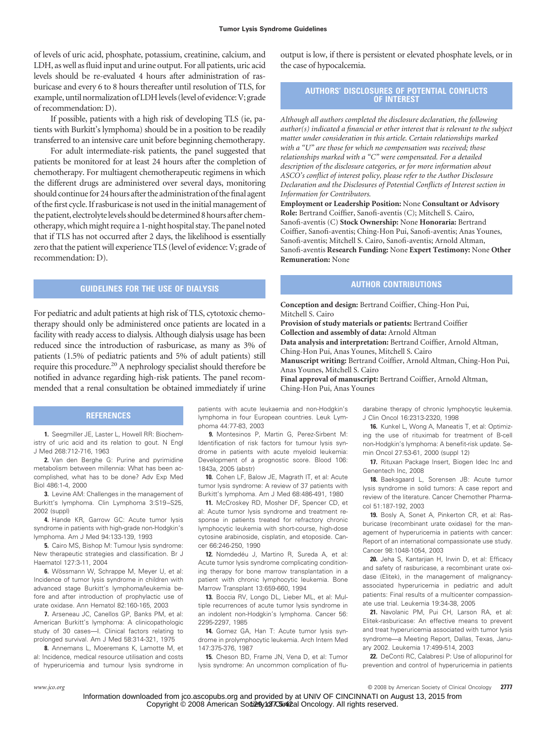of levels of uric acid, phosphate, potassium, creatinine, calcium, and LDH, as well as fluid input and urine output. For all patients, uric acid levels should be re-evaluated 4 hours after administration of rasburicase and every 6 to 8 hours thereafter until resolution of TLS, for example, until normalization of LDH levels (level of evidence: V; grade of recommendation: D).

If possible, patients with a high risk of developing TLS (ie, patients with Burkitt's lymphoma) should be in a position to be readily transferred to an intensive care unit before beginning chemotherapy.

For adult intermediate-risk patients, the panel suggested that patients be monitored for at least 24 hours after the completion of chemotherapy. For multiagent chemotherapeutic regimens in which the different drugs are administered over several days, monitoring should continue for 24 hours after the administration of the final agent of the first cycle. If rasburicase is not used in the initial management of the patient, electrolyte levels should be determined 8 hours after chemotherapy, which might require a 1-night hospital stay. The panel noted that if TLS has not occurred after 2 days, the likelihood is essentially zero that the patient will experience TLS (level of evidence: V; grade of recommendation: D).

#### **GUIDELINES FOR THE USE OF DIALYSIS**

For pediatric and adult patients at high risk of TLS, cytotoxic chemotherapy should only be administered once patients are located in a facility with ready access to dialysis. Although dialysis usage has been reduced since the introduction of rasburicase, as many as 3% of patients (1.5% of pediatric patients and 5% of adult patients) still require this procedure.<sup>20</sup> A nephrology specialist should therefore be notified in advance regarding high-risk patients. The panel recommended that a renal consultation be obtained immediately if urine

#### **REFERENCES**

**1.** Seegmiller JE, Laster L, Howell RR: Biochemistry of uric acid and its relation to gout. N Engl J Med 268:712-716, 1963

**2.** Van den Berghe G: Purine and pyrimidine metabolism between millennia: What has been accomplished, what has to be done? Adv Exp Med Biol 486:1-4, 2000

**3.** Levine AM: Challenges in the management of Burkitt's lymphoma. Clin Lymphoma 3:S19–S25, 2002 (suppl)

**4.** Hande KR, Garrow GC: Acute tumor lysis syndrome in patients with high-grade non-Hodgkin's lymphoma. Am J Med 94:133-139, 1993

**5.** Cairo MS, Bishop M: Tumour lysis syndrome: New therapeutic strategies and classification. Br J Haematol 127:3-11, 2004

**6.** Wössmann W, Schrappe M, Meyer U, et al: Incidence of tumor lysis syndrome in children with advanced stage Burkitt's lymphoma/leukemia before and after introduction of prophylactic use of urate oxidase. Ann Hematol 82:160-165, 2003

**7.** Arseneau JC, Canellos GP, Banks PM, et al: American Burkitt's lymphoma: A clinicopathologic study of 30 cases—I. Clinical factors relating to prolonged survival. Am J Med 58:314-321, 1975

**8.** Annemans L, Moeremans K, Lamotte M, et al: Incidence, medical resource utilisation and costs of hyperuricemia and tumour lysis syndrome in

output is low, if there is persistent or elevated phosphate levels, or in the case of hypocalcemia.

#### **AUTHORS' DISCLOSURES OF POTENTIAL CONFLICTS OF INTEREST**

*Although all authors completed the disclosure declaration, the following author(s) indicated a financial or other interest that is relevant to the subject matter under consideration in this article. Certain relationships marked with a "U" are those for which no compensation was received; those relationships marked with a "C" were compensated. For a detailed description of the disclosure categories, or for more information about ASCO's conflict of interest policy, please refer to the Author Disclosure Declaration and the Disclosures of Potential Conflicts of Interest section in Information for Contributors.*

**Employment or Leadership Position:** None **Consultant or Advisory Role:** Bertrand Coiffier, Sanofi-aventis (C); Mitchell S. Cairo, Sanofi-aventis (C) **Stock Ownership:** None **Honoraria:** Bertrand Coiffier, Sanofi-aventis; Ching-Hon Pui, Sanofi-aventis; Anas Younes, Sanofi-aventis; Mitchell S. Cairo, Sanofi-aventis; Arnold Altman, Sanofi-aventis **Research Funding:** None **Expert Testimony:** None **Other Remuneration:** None

## **AUTHOR CONTRIBUTIONS**

**Conception and design:** Bertrand Coiffier, Ching-Hon Pui, Mitchell S. Cairo

**Provision of study materials or patients:** Bertrand Coiffier **Collection and assembly of data:** Arnold Altman **Data analysis and interpretation:** Bertrand Coiffier, Arnold Altman, Ching-Hon Pui, Anas Younes, Mitchell S. Cairo **Manuscript writing:** Bertrand Coiffier, Arnold Altman, Ching-Hon Pui, Anas Younes, Mitchell S. Cairo **Final approval of manuscript:** Bertrand Coiffier, Arnold Altman, Ching-Hon Pui, Anas Younes

patients with acute leukaemia and non-Hodgkin's lymphoma in four European countries. Leuk Lymphoma 44:77-83, 2003

**9.** Montesinos P, Martin G, Perez-Sirbent M: Identification of risk factors for tumour lysis syndrome in patients with acute myeloid leukemia: Development of a prognostic score. Blood 106: 1843a, 2005 (abstr)

**10.** Cohen LF, Balow JE, Magrath IT, et al: Acute tumor lysis syndrome: A review of 37 patients with Burkitt's lymphoma. Am J Med 68:486-491, 1980

**11.** McCroskey RD, Mosher DF, Spencer CD, et al: Acute tumor lysis syndrome and treatment response in patients treated for refractory chronic lymphocytic leukemia with short-course, high-dose cytosine arabinoside, cisplatin, and etoposide. Cancer 66:246-250, 1990

12. Nomdedéu J, Martino R, Sureda A, et al: Acute tumor lysis syndrome complicating conditioning therapy for bone marrow transplantation in a patient with chronic lymphocytic leukemia. Bone Marrow Transplant 13:659-660, 1994

**13.** Boccia RV, Longo DL, Lieber ML, et al: Multiple recurrences of acute tumor lysis syndrome in an indolent non-Hodgkin's lymphoma. Cancer 56: 2295-2297, 1985

**14.** Gomez GA, Han T: Acute tumor lysis syndrome in prolymphocytic leukemia. Arch Intern Med 147:375-376, 1987

**15.** Cheson BD, Frame JN, Vena D, et al: Tumor lysis syndrome: An uncommon complication of fludarabine therapy of chronic lymphocytic leukemia. J Clin Oncol 16:2313-2320, 1998

**16.** Kunkel L, Wong A, Maneatis T, et al: Optimizing the use of rituximab for treatment of B-cell non-Hodgkin's lymphoma: A benefit-risk update. Semin Oncol 27:53-61, 2000 (suppl 12)

**17.** Rituxan Package Insert, Biogen Idec Inc and Genentech Inc, 2008

**18.** Baeksgaard L, Sorensen JB: Acute tumor lysis syndrome in solid tumors: A case report and review of the literature. Cancer Chemother Pharmacol 51:187-192, 2003

**19.** Bosly A, Sonet A, Pinkerton CR, et al: Rasburicase (recombinant urate oxidase) for the management of hyperuricemia in patients with cancer: Report of an international compassionate use study. Cancer 98:1048-1054, 2003

**20.** Jeha S, Kantarjian H, Irwin D, et al: Efficacy and safety of rasburicase, a recombinant urate oxidase (Elitek), in the management of malignancyassociated hyperuricemia in pediatric and adult patients: Final results of a multicenter compassionate use trial. Leukemia 19:34-38, 2005

**21.** Navolanic PM, Pui CH, Larson RA, et al: Elitek-rasburicase: An effective means to prevent and treat hyperuricemia associated with tumor lysis syndrome—a Meeting Report, Dallas, Texas, January 2002. Leukemia 17:499-514, 2003

**22.** DeConti RC, Calabresi P: Use of allopurinol for prevention and control of hyperuricemia in patients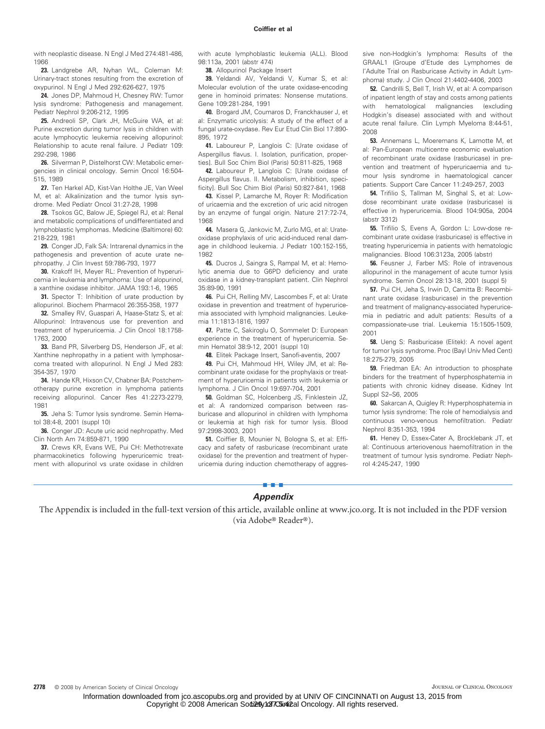with neoplastic disease. N Engl J Med 274:481-486, 1966

**23.** Landgrebe AR, Nyhan WL, Coleman M: Urinary-tract stones resulting from the excretion of oxypurinol. N Engl J Med 292:626-627, 1975

**24.** Jones DP, Mahmoud H, Chesney RW: Tumor lysis syndrome: Pathogenesis and management. Pediatr Nephrol 9:206-212, 1995

**25.** Andreoli SP, Clark JH, McGuire WA, et al: Purine excretion during tumor lysis in children with acute lymphocytic leukemia receiving allopurinol: Relationship to acute renal failure. J Pediatr 109: 292-298, 1986

**26.** Silverman P, Distelhorst CW: Metabolic emergencies in clinical oncology. Semin Oncol 16:504- 515, 1989

**27.** Ten Harkel AD, Kist-Van Holthe JE, Van Weel M, et al: Alkalinization and the tumor lysis syndrome. Med Pediatr Oncol 31:27-28, 1998

**28.** Tsokos GC, Balow JE, Spiegel RJ, et al: Renal and metabolic complications of undifferentiated and lymphoblastic lymphomas. Medicine (Baltimore) 60: 218-229, 1981

**29.** Conger JD, Falk SA: Intrarenal dynamics in the pathogenesis and prevention of acute urate nephropathy. J Clin Invest 59:786-793, 1977

**30.** Krakoff IH, Meyer RL: Prevention of hyperuricemia in leukemia and lymphoma: Use of alopurinol, a xanthine oxidase inhibitor. JAMA 193:1-6, 1965

**31.** Spector T: Inhibition of urate production by allopurinol. Biochem Pharmacol 26:355-358, 1977

**32.** Smalley RV, Guaspari A, Haase-Statz S, et al: Allopurinol: Intravenous use for prevention and treatment of hyperuricemia. J Clin Oncol 18:1758- 1763, 2000

**33.** Band PR, Silverberg DS, Henderson JF, et al: Xanthine nephropathy in a patient with lymphosarcoma treated with allopurinol. N Engl J Med 283: 354-357, 1970

**34.** Hande KR, Hixson CV, Chabner BA: Postchemotherapy purine excretion in lymphoma patients receiving allopurinol. Cancer Res 41:2273-2279, 1981

**35.** Jeha S: Tumor lysis syndrome. Semin Hematol 38:4-8, 2001 (suppl 10)

**36.** Conger JD: Acute uric acid nephropathy. Med Clin North Am 74:859-871, 1990

**37.** Crews KR, Evans WE, Pui CH: Methotrexate pharmacokinetics following hyperuricemic treatment with allopurinol vs urate oxidase in children with acute lymphoblastic leukemia (ALL). Blood 98:113a, 2001 (abstr 474)

**38.** Allopurinol Package Insert

**39.** Yeldandi AV, Yeldandi V, Kumar S, et al: Molecular evolution of the urate oxidase-encoding gene in hominoid primates: Nonsense mutations. Gene 109:281-284, 1991

**40.** Brogard JM, Coumaros D, Franckhauser J, et al: Enzymatic uricolysis: A study of the effect of a fungal urate-oxydase. Rev Eur Etud Clin Biol 17:890- 895, 1972

**41.** Laboureur P, Langlois C: [Urate oxidase of Aspergillus flavus. I. Isolation, purification, properties]. Bull Soc Chim Biol (Paris) 50:811-825, 1968

**42.** Laboureur P, Langlois C: [Urate oxidase of Aspergillus flavus. II. Metabolism, inhibition, specificity]. Bull Soc Chim Biol (Paris) 50:827-841, 1968

**43.** Kissel P, Lamarche M, Royer R: Modification of uricaemia and the excretion of uric acid nitrogen by an enzyme of fungal origin. Nature 217:72-74, 1968

**44.** Masera G, Jankovic M, Zurlo MG, et al: Urateoxidase prophylaxis of uric acid-induced renal damage in childhood leukemia. J Pediatr 100:152-155, 1982

**45.** Ducros J, Saingra S, Rampal M, et al: Hemolytic anemia due to G6PD deficiency and urate oxidase in a kidney-transplant patient. Clin Nephrol 35:89-90, 1991

**46.** Pui CH, Relling MV, Lascombes F, et al: Urate oxidase in prevention and treatment of hyperuricemia associated with lymphoid malignancies. Leukemia 11:1813-1816, 1997

**47.** Patte C, Sakiroglu O, Sommelet D: European experience in the treatment of hyperuricemia. Semin Hematol 38:9-12, 2001 (suppl 10)

**48.** Elitek Package Insert, Sanofi-aventis, 2007

**49.** Pui CH, Mahmoud HH, Wiley JM, et al: Recombinant urate oxidase for the prophylaxis or treatment of hyperuricemia in patients with leukemia or lymphoma. J Clin Oncol 19:697-704, 2001

**50.** Goldman SC, Holcenberg JS, Finklestein JZ, et al: A randomized comparison between rasburicase and allopurinol in children with lymphoma or leukemia at high risk for tumor lysis. Blood 97:2998-3003, 2001

**51.** Coiffier B, Mounier N, Bologna S, et al: Efficacy and safety of rasburicase (recombinant urate oxidase) for the prevention and treatment of hyperuricemia during induction chemotherapy of aggressive non-Hodgkin's lymphoma: Results of the GRAAL1 (Groupe d'Etude des Lymphomes de l'Adulte Trial on Rasburicase Activity in Adult Lymphoma) study. J Clin Oncol 21:4402-4406, 2003

**52.** Candrilli S, Bell T, Irish W, et al: A comparison of inpatient length of stay and costs among patients with hematological malignancies (excluding Hodgkin's disease) associated with and without acute renal failure. Clin Lymph Myeloma 8:44-51, 2008

**53.** Annemans L, Moeremans K, Lamotte M, et al: Pan-European multicentre economic evaluation of recombinant urate oxidase (rasburicase) in prevention and treatment of hyperuricaemia and tumour lysis syndrome in haematological cancer patients. Support Care Cancer 11:249-257, 2003

**54.** Trifilio S, Tallman M, Singhal S, et al: Lowdose recombinant urate oxidase (rasburicase) is effective in hyperuricemia. Blood 104:905a, 2004 (abstr 3312)

**55.** Trifilio S, Evens A, Gordon L: Low-dose recombinant urate oxidase (rasburicase) is effective in treating hyperuricemia in patients with hematologic malignancies. Blood 106:3123a, 2005 (abstr)

**56.** Feusner J, Farber MS: Role of intravenous allopurinol in the management of acute tumor lysis syndrome. Semin Oncol 28:13-18, 2001 (suppl 5)

**57.** Pui CH, Jeha S, Irwin D, Camitta B: Recombinant urate oxidase (rasburicase) in the prevention and treatment of malignancy-associated hyperuricemia in pediatric and adult patients: Results of a compassionate-use trial. Leukemia 15:1505-1509, 2001

**58.** Ueng S: Rasburicase (Elitek): A novel agent for tumor lysis syndrome. Proc (Bayl Univ Med Cent) 18:275-279, 2005

**59.** Friedman EA: An introduction to phosphate binders for the treatment of hyperphosphatemia in patients with chronic kidney disease. Kidney Int Suppl S2–S6, 2005

**60.** Sakarcan A, Quigley R: Hyperphosphatemia in tumor lysis syndrome: The role of hemodialysis and continuous veno-venous hemofiltration. Pediatr Nephrol 8:351-353, 1994

**61.** Heney D, Essex-Cater A, Brocklebank JT, et al: Continuous arteriovenous haemofiltration in the treatment of tumour lysis syndrome. Pediatr Nephrol 4:245-247, 1990

## ■■■ *Appendix*

The Appendix is included in the full-text version of this article, available online at www.jco.org. It is not included in the PDF version (via Adobe® Reader®).